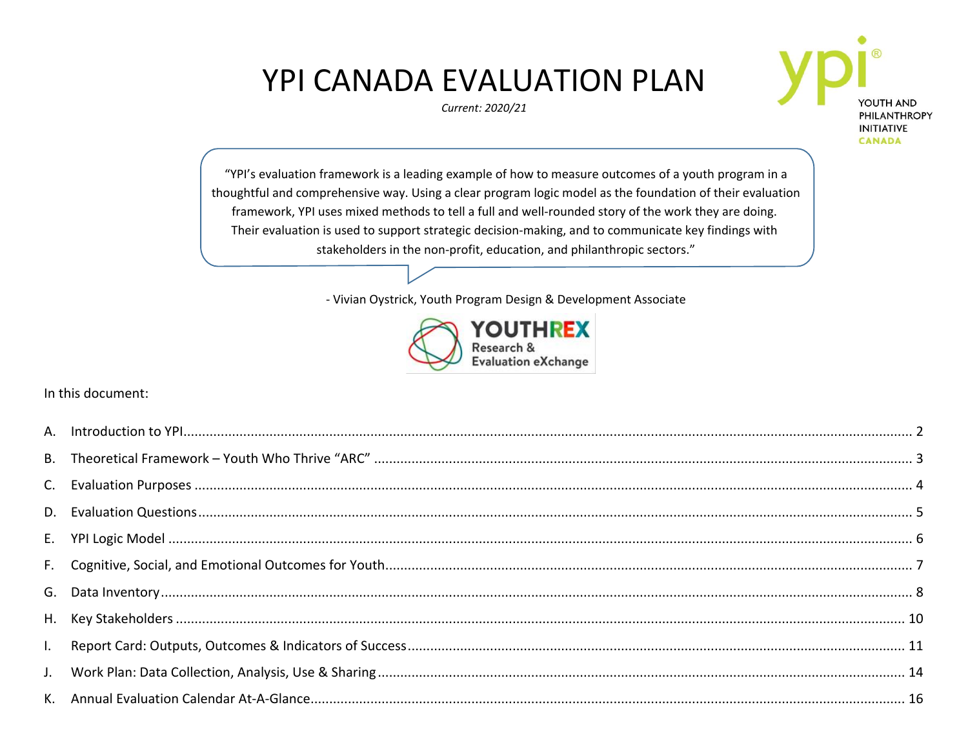# **YPI CANADA EVALUATION PLAN**

Current: 2020/21



"YPI's evaluation framework is a leading example of how to measure outcomes of a youth program in a thoughtful and comprehensive way. Using a clear program logic model as the foundation of their evaluation framework, YPI uses mixed methods to tell a full and well-rounded story of the work they are doing. Their evaluation is used to support strategic decision-making, and to communicate key findings with stakeholders in the non-profit, education, and philanthropic sectors."

- Vivian Oystrick, Youth Program Design & Development Associate



In this document: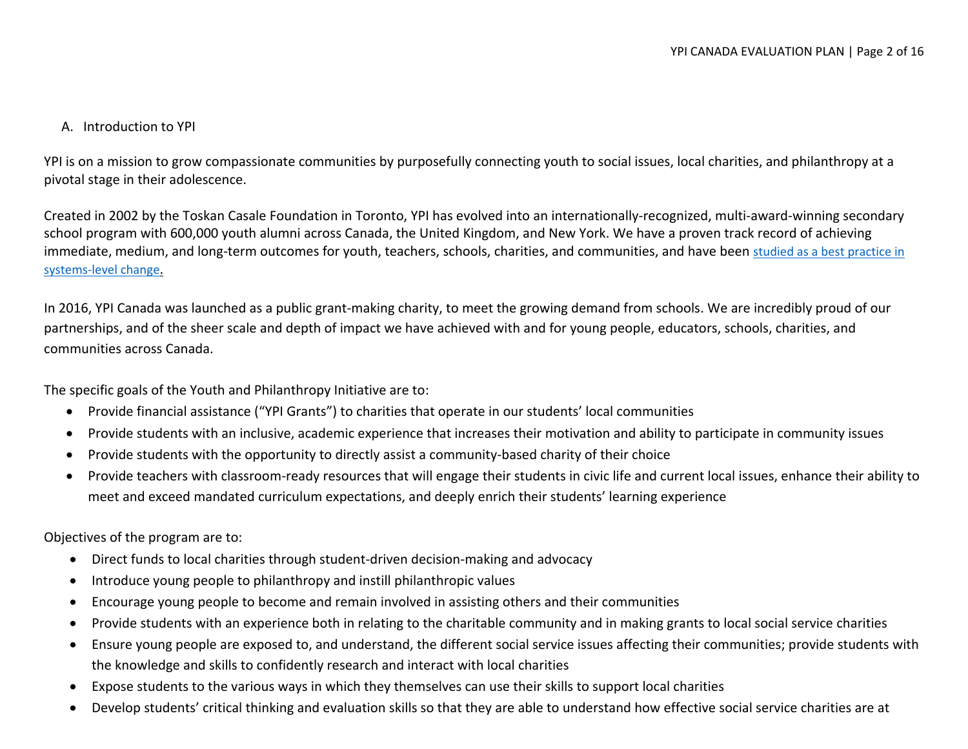## <span id="page-1-0"></span>A. Introduction to YPI

YPI is on a mission to grow compassionate communities by purposefully connecting youth to social issues, local charities, and philanthropy at a pivotal stage in their adolescence.

Created in 2002 by the Toskan Casale Foundation in Toronto, YPI has evolved into an internationally-recognized, multi-award-winning secondary school program with 600,000 youth alumni across Canada, the United Kingdom, and New York. We have a proven track record of achieving immediate, medium, and long-term outcomes for youth, teachers, schools, charities, and communities, and have been [studied as a best practice in](https://pfc.ca/wp-content/uploads/2018/01/pfc-outsized-impact-sept2016-en.pdf)  [systems-level change](https://pfc.ca/wp-content/uploads/2018/01/pfc-outsized-impact-sept2016-en.pdf).

In 2016, YPI Canada was launched as a public grant-making charity, to meet the growing demand from schools. We are incredibly proud of our partnerships, and of the sheer scale and depth of impact we have achieved with and for young people, educators, schools, charities, and communities across Canada.

The specific goals of the Youth and Philanthropy Initiative are to:

- Provide financial assistance ("YPI Grants") to charities that operate in our students' local communities
- Provide students with an inclusive, academic experience that increases their motivation and ability to participate in community issues
- Provide students with the opportunity to directly assist a community-based charity of their choice
- Provide teachers with classroom-ready resources that will engage their students in civic life and current local issues, enhance their ability to meet and exceed mandated curriculum expectations, and deeply enrich their students' learning experience

Objectives of the program are to:

- Direct funds to local charities through student-driven decision-making and advocacy
- Introduce young people to philanthropy and instill philanthropic values
- Encourage young people to become and remain involved in assisting others and their communities
- Provide students with an experience both in relating to the charitable community and in making grants to local social service charities
- Ensure young people are exposed to, and understand, the different social service issues affecting their communities; provide students with the knowledge and skills to confidently research and interact with local charities
- Expose students to the various ways in which they themselves can use their skills to support local charities
- Develop students' critical thinking and evaluation skills so that they are able to understand how effective social service charities are at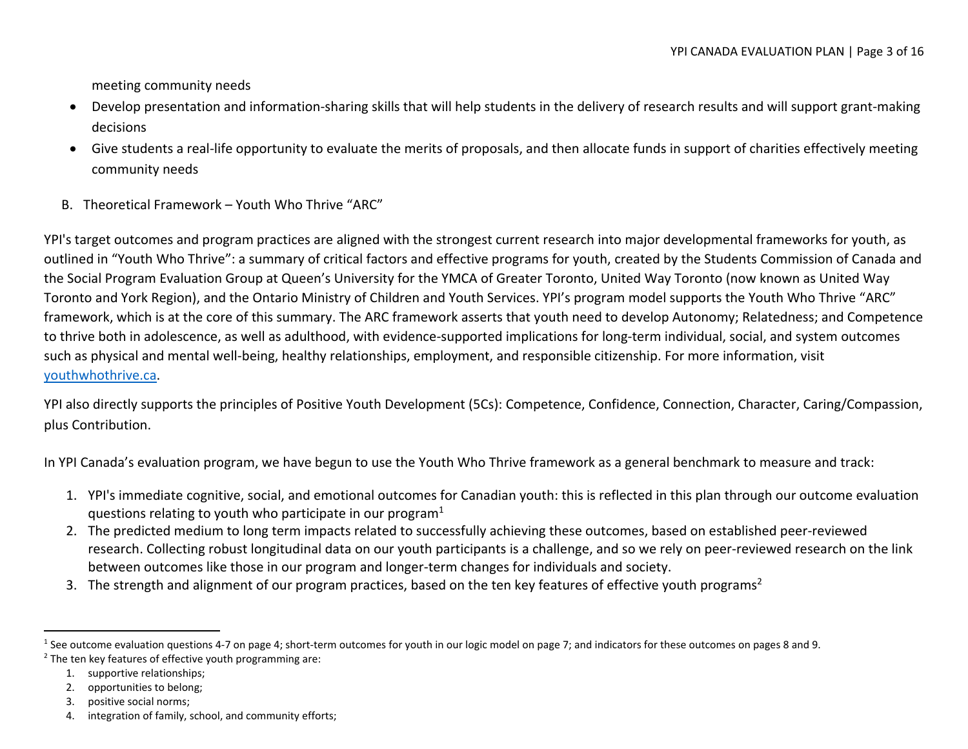meeting community needs

- Develop presentation and information-sharing skills that will help students in the delivery of research results and will support grant-making decisions
- Give students a real-life opportunity to evaluate the merits of proposals, and then allocate funds in support of charities effectively meeting community needs
- <span id="page-2-0"></span>B. Theoretical Framework – Youth Who Thrive "ARC"

YPI's target outcomes and program practices are aligned with the strongest current research into major developmental frameworks for youth, as outlined in "Youth Who Thrive": a summary of critical factors and effective programs for youth, created by the Students Commission of Canada and the Social Program Evaluation Group at Queen's University for the YMCA of Greater Toronto, United Way Toronto (now known as United Way Toronto and York Region), and the Ontario Ministry of Children and Youth Services. YPI's program model supports the Youth Who Thrive "ARC" framework, which is at the core of this summary. The ARC framework asserts that youth need to develop Autonomy; Relatedness; and Competence to thrive both in adolescence, as well as adulthood, with evidence-supported implications for long-term individual, social, and system outcomes such as physical and mental well-being, healthy relationships, employment, and responsible citizenship. For more information, visit [youthwhothrive.ca.](http://www.youthwhothrive.ca/index.php)

YPI also directly supports the principles of Positive Youth Development (5Cs): Competence, Confidence, Connection, Character, Caring/Compassion, plus Contribution.

In YPI Canada's evaluation program, we have begun to use the Youth Who Thrive framework as a general benchmark to measure and track:

- 1. YPI's immediate cognitive, social, and emotional outcomes for Canadian youth: this is reflected in this plan through our outcome evaluation questions relating to youth who participate in our program $1$
- 2. The predicted medium to long term impacts related to successfully achieving these outcomes, based on established peer-reviewed research. Collecting robust longitudinal data on our youth participants is a challenge, and so we rely on peer-reviewed research on the link between outcomes like those in our program and longer-term changes for individuals and society.
- 3. The strength and alignment of our program practices, based on the ten key features of effective youth programs<sup>2</sup>

<sup>&</sup>lt;sup>1</sup> See outcome evaluation questions 4-7 on page 4; short-term outcomes for youth in our logic model on page 7; and indicators for these outcomes on pages 8 and 9. <sup>2</sup> The ten key features of effective youth programming are:

<sup>1.</sup> supportive relationships;

<sup>2.</sup> opportunities to belong;

<sup>3.</sup> positive social norms;

<sup>4.</sup> integration of family, school, and community efforts;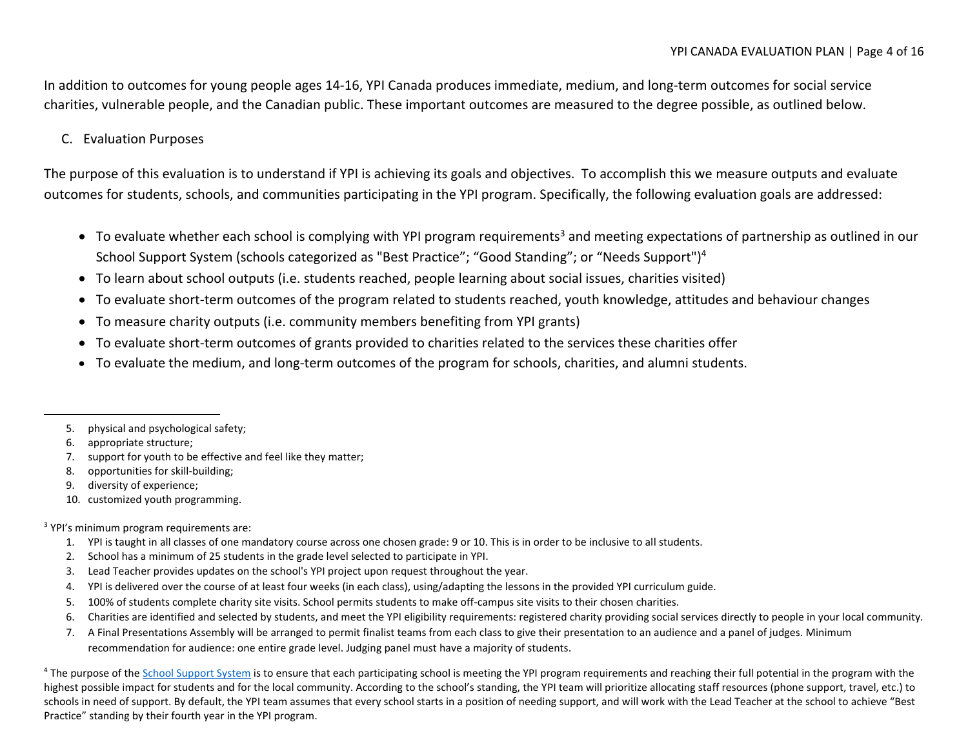In addition to outcomes for young people ages 14-16, YPI Canada produces immediate, medium, and long-term outcomes for social service charities, vulnerable people, and the Canadian public. These important outcomes are measured to the degree possible, as outlined below.

# <span id="page-3-0"></span>C. Evaluation Purposes

The purpose of this evaluation is to understand if YPI is achieving its goals and objectives. To accomplish this we measure outputs and evaluate outcomes for students, schools, and communities participating in the YPI program. Specifically, the following evaluation goals are addressed:

- To evaluate whether each school is complying with YPI program requirements<sup>3</sup> and meeting expectations of partnership as outlined in our School Support System (schools categorized as "Best Practice"; "Good Standing"; or "Needs Support")<sup>4</sup>
- To learn about school outputs (i.e. students reached, people learning about social issues, charities visited)
- To evaluate short-term outcomes of the program related to students reached, youth knowledge, attitudes and behaviour changes
- To measure charity outputs (i.e. community members benefiting from YPI grants)
- To evaluate short-term outcomes of grants provided to charities related to the services these charities offer
- To evaluate the medium, and long-term outcomes of the program for schools, charities, and alumni students.

- 7. support for youth to be effective and feel like they matter;
- 8. opportunities for skill-building;
- 9. diversity of experience;
- 10. customized youth programming.

#### <sup>3</sup> YPI's minimum program requirements are:

- 1. YPI is taught in all classes of one mandatory course across one chosen grade: 9 or 10. This is in order to be inclusive to all students.
- 2. School has a minimum of 25 students in the grade level selected to participate in YPI.
- 3. Lead Teacher provides updates on the school's YPI project upon request throughout the year.
- 4. YPI is delivered over the course of at least four weeks (in each class), using/adapting the lessons in the provided YPI curriculum guide.
- 5. 100% of students complete charity site visits. School permits students to make off-campus site visits to their chosen charities.
- 6. Charities are identified and selected by students, and meet the YPI eligibility requirements: registered charity providing social services directly to people in your local community.
- 7. A Final Presentations Assembly will be arranged to permit finalist teams from each class to give their presentation to an audience and a panel of judges. Minimum recommendation for audience: one entire grade level. Judging panel must have a majority of students.

<sup>4</sup> The purpose of th[e School Support System](https://www.goypi.org/wp-content/uploads/2018/11/YPI-School-Support-System.pdf) is to ensure that each participating school is meeting the YPI program requirements and reaching their full potential in the program with the highest possible impact for students and for the local community. According to the school's standing, the YPI team will prioritize allocating staff resources (phone support, travel, etc.) to schools in need of support. By default, the YPI team assumes that every school starts in a position of needing support, and will work with the Lead Teacher at the school to achieve "Best Practice" standing by their fourth year in the YPI program.

<sup>5.</sup> physical and psychological safety;

<sup>6.</sup> appropriate structure;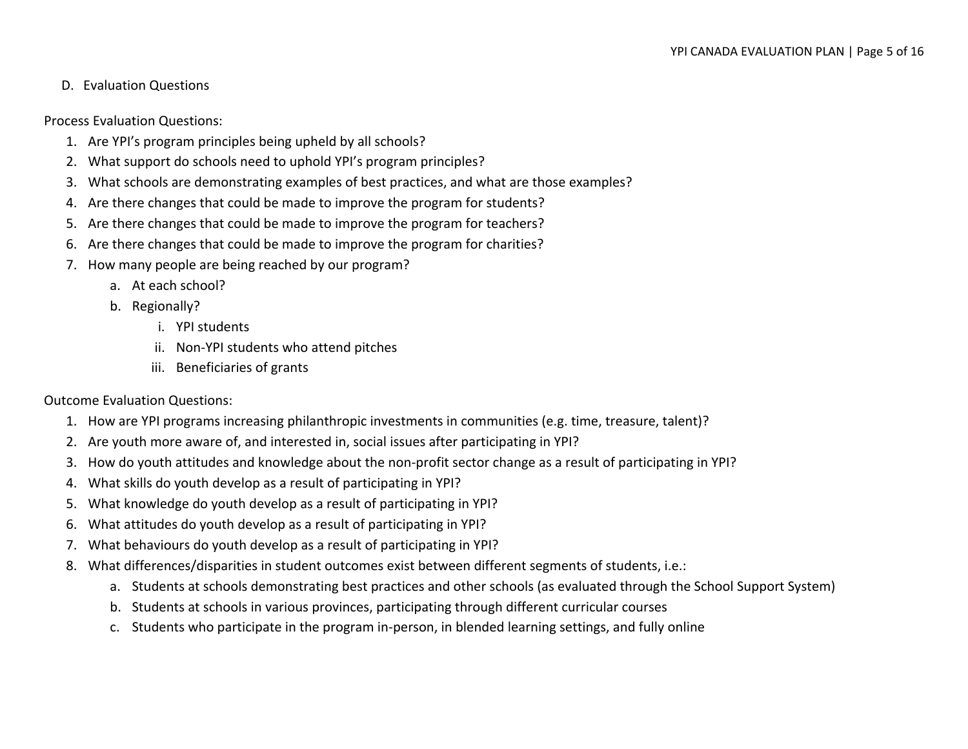## <span id="page-4-0"></span>D. Evaluation Questions

Process Evaluation Questions:

- 1. Are YPI's program principles being upheld by all schools?
- 2. What support do schools need to uphold YPI's program principles?
- 3. What schools are demonstrating examples of best practices, and what are those examples?
- 4. Are there changes that could be made to improve the program for students?
- 5. Are there changes that could be made to improve the program for teachers?
- 6. Are there changes that could be made to improve the program for charities?
- 7. How many people are being reached by our program?
	- a. At each school?
	- b. Regionally?
		- i. YPI students
		- ii. Non-YPI students who attend pitches
		- iii. Beneficiaries of grants

#### Outcome Evaluation Questions:

- 1. How are YPI programs increasing philanthropic investments in communities (e.g. time, treasure, talent)?
- 2. Are youth more aware of, and interested in, social issues after participating in YPI?
- 3. How do youth attitudes and knowledge about the non-profit sector change as a result of participating in YPI?
- 4. What skills do youth develop as a result of participating in YPI?
- 5. What knowledge do youth develop as a result of participating in YPI?
- 6. What attitudes do youth develop as a result of participating in YPI?
- 7. What behaviours do youth develop as a result of participating in YPI?
- 8. What differences/disparities in student outcomes exist between different segments of students, i.e.:
	- a. Students at schools demonstrating best practices and other schools (as evaluated through the School Support System)
	- b. Students at schools in various provinces, participating through different curricular courses
	- c. Students who participate in the program in-person, in blended learning settings, and fully online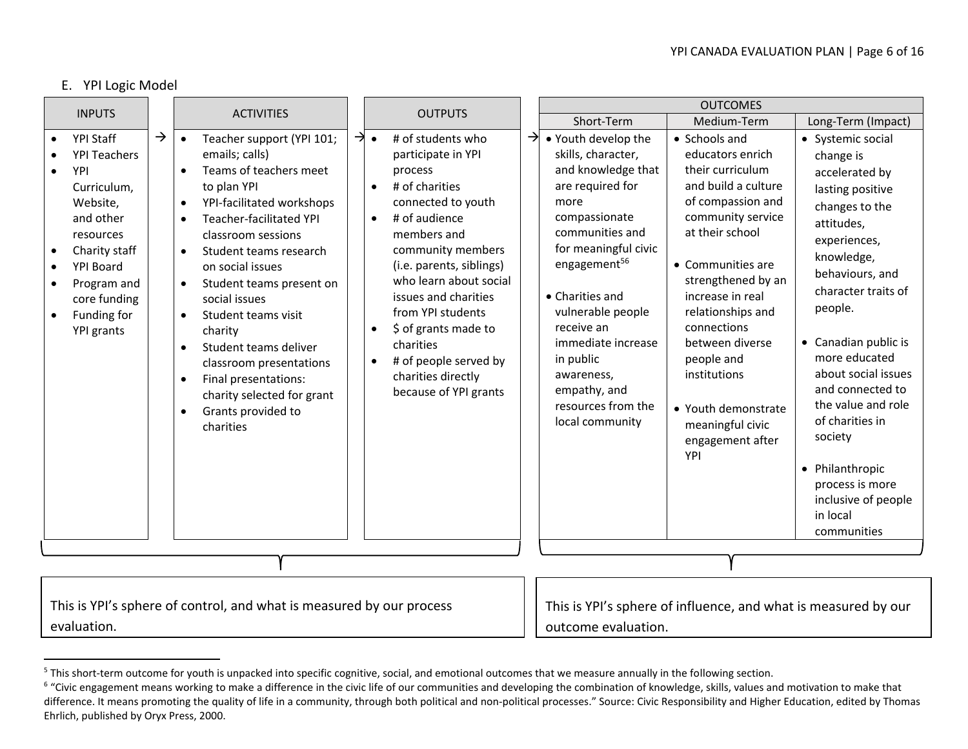#### E. YPI Logic Model

<span id="page-5-0"></span>

|                                                                                                                                                                                                                   |               |                                                                                                                                                                                                                                                                                                                                                                                                                                                                                                                                                                   |  |                                                                                                                                                                                                                                                                                                                                                                                                                                                       |                     | <b>OUTCOMES</b>                                                                                                                                                                                                                                                                                                                                     |                                                                                                                                                                                                                                                                                                                                                                     |                                                                                                                                                                                                                                                                                                                                                                                                                         |  |  |  |  |
|-------------------------------------------------------------------------------------------------------------------------------------------------------------------------------------------------------------------|---------------|-------------------------------------------------------------------------------------------------------------------------------------------------------------------------------------------------------------------------------------------------------------------------------------------------------------------------------------------------------------------------------------------------------------------------------------------------------------------------------------------------------------------------------------------------------------------|--|-------------------------------------------------------------------------------------------------------------------------------------------------------------------------------------------------------------------------------------------------------------------------------------------------------------------------------------------------------------------------------------------------------------------------------------------------------|---------------------|-----------------------------------------------------------------------------------------------------------------------------------------------------------------------------------------------------------------------------------------------------------------------------------------------------------------------------------------------------|---------------------------------------------------------------------------------------------------------------------------------------------------------------------------------------------------------------------------------------------------------------------------------------------------------------------------------------------------------------------|-------------------------------------------------------------------------------------------------------------------------------------------------------------------------------------------------------------------------------------------------------------------------------------------------------------------------------------------------------------------------------------------------------------------------|--|--|--|--|
| <b>INPUTS</b>                                                                                                                                                                                                     |               | <b>ACTIVITIES</b>                                                                                                                                                                                                                                                                                                                                                                                                                                                                                                                                                 |  |                                                                                                                                                                                                                                                                                                                                                                                                                                                       |                     | Short-Term                                                                                                                                                                                                                                                                                                                                          | Medium-Term                                                                                                                                                                                                                                                                                                                                                         | Long-Term (Impact)                                                                                                                                                                                                                                                                                                                                                                                                      |  |  |  |  |
| YPI Staff<br>$\bullet$<br><b>YPI Teachers</b><br>YPI<br>Curriculum,<br>Website,<br>and other<br>resources<br>Charity staff<br><b>YPI Board</b><br>Program and<br>core funding<br>Funding for<br><b>YPI</b> grants | $\rightarrow$ | Teacher support (YPI 101;<br>$\bullet$<br>emails; calls)<br>Teams of teachers meet<br>to plan YPI<br>YPI-facilitated workshops<br>$\bullet$<br>Teacher-facilitated YPI<br>$\bullet$<br>classroom sessions<br>Student teams research<br>$\bullet$<br>on social issues<br>Student teams present on<br>$\bullet$<br>social issues<br>Student teams visit<br>$\bullet$<br>charity<br>Student teams deliver<br>$\bullet$<br>classroom presentations<br>Final presentations:<br>$\bullet$<br>charity selected for grant<br>Grants provided to<br>$\bullet$<br>charities |  | <b>OUTPUTS</b><br>$\rightarrow \bullet$<br># of students who<br>$\rightarrow$<br>participate in YPI<br>process<br># of charities<br>connected to youth<br># of audience<br>$\bullet$<br>members and<br>community members<br>(i.e. parents, siblings)<br>who learn about social<br>issues and charities<br>from YPI students<br>\$ of grants made to<br>charities<br># of people served by<br>$\bullet$<br>charities directly<br>because of YPI grants |                     | • Youth develop the<br>skills, character,<br>and knowledge that<br>are required for<br>more<br>compassionate<br>communities and<br>for meaningful civic<br>engagement <sup>56</sup><br>• Charities and<br>vulnerable people<br>receive an<br>immediate increase<br>in public<br>awareness,<br>empathy, and<br>resources from the<br>local community | • Schools and<br>educators enrich<br>their curriculum<br>and build a culture<br>of compassion and<br>community service<br>at their school<br>• Communities are<br>strengthened by an<br>increase in real<br>relationships and<br>connections<br>between diverse<br>people and<br>institutions<br>• Youth demonstrate<br>meaningful civic<br>engagement after<br>YPI | • Systemic social<br>change is<br>accelerated by<br>lasting positive<br>changes to the<br>attitudes,<br>experiences,<br>knowledge,<br>behaviours, and<br>character traits of<br>people.<br>• Canadian public is<br>more educated<br>about social issues<br>and connected to<br>the value and role<br>of charities in<br>society<br>• Philanthropic<br>process is more<br>inclusive of people<br>in local<br>communities |  |  |  |  |
|                                                                                                                                                                                                                   |               |                                                                                                                                                                                                                                                                                                                                                                                                                                                                                                                                                                   |  |                                                                                                                                                                                                                                                                                                                                                                                                                                                       |                     |                                                                                                                                                                                                                                                                                                                                                     |                                                                                                                                                                                                                                                                                                                                                                     |                                                                                                                                                                                                                                                                                                                                                                                                                         |  |  |  |  |
|                                                                                                                                                                                                                   |               |                                                                                                                                                                                                                                                                                                                                                                                                                                                                                                                                                                   |  |                                                                                                                                                                                                                                                                                                                                                                                                                                                       |                     |                                                                                                                                                                                                                                                                                                                                                     |                                                                                                                                                                                                                                                                                                                                                                     |                                                                                                                                                                                                                                                                                                                                                                                                                         |  |  |  |  |
|                                                                                                                                                                                                                   |               | This is YPI's sphere of control, and what is measured by our process                                                                                                                                                                                                                                                                                                                                                                                                                                                                                              |  |                                                                                                                                                                                                                                                                                                                                                                                                                                                       |                     |                                                                                                                                                                                                                                                                                                                                                     | This is YPI's sphere of influence, and what is measured by our                                                                                                                                                                                                                                                                                                      |                                                                                                                                                                                                                                                                                                                                                                                                                         |  |  |  |  |
| evaluation.                                                                                                                                                                                                       |               |                                                                                                                                                                                                                                                                                                                                                                                                                                                                                                                                                                   |  |                                                                                                                                                                                                                                                                                                                                                                                                                                                       | outcome evaluation. |                                                                                                                                                                                                                                                                                                                                                     |                                                                                                                                                                                                                                                                                                                                                                     |                                                                                                                                                                                                                                                                                                                                                                                                                         |  |  |  |  |

<sup>&</sup>lt;sup>5</sup> This short-term outcome for youth is unpacked into specific cognitive, social, and emotional outcomes that we measure annually in the following section.

<sup>&</sup>lt;sup>6</sup> "Civic engagement means working to make a difference in the civic life of our communities and developing the combination of knowledge, skills, values and motivation to make that difference. It means promoting the quality of life in a community, through both political and non-political processes." Source: Civic Responsibility and Higher Education, edited by Thomas Ehrlich, published by Oryx Press, 2000.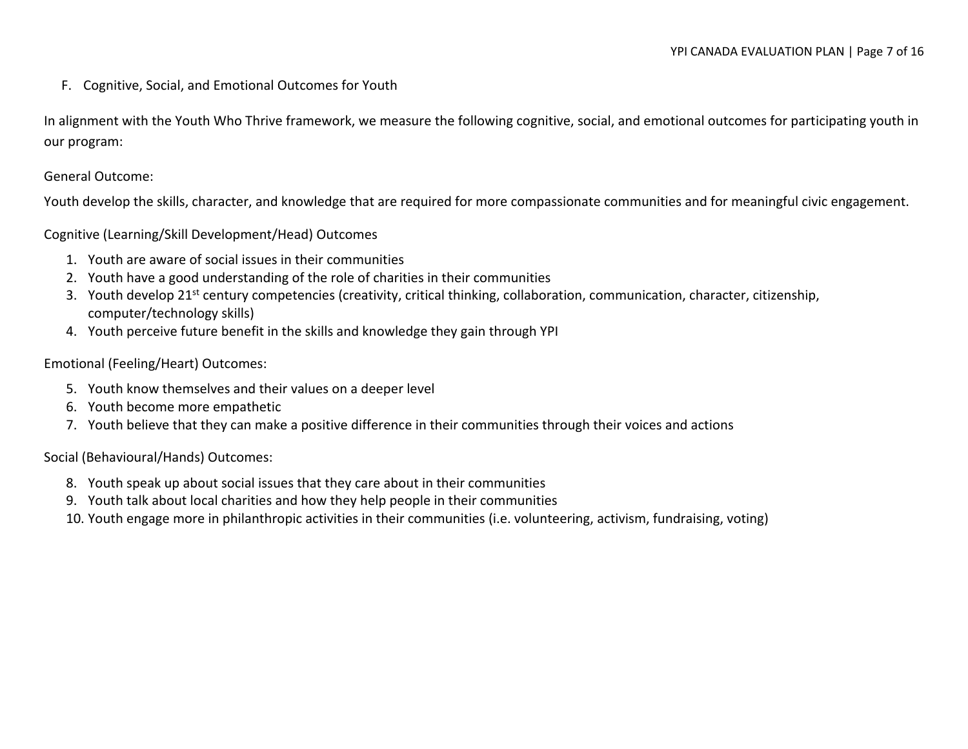<span id="page-6-0"></span>F. Cognitive, Social, and Emotional Outcomes for Youth

In alignment with the Youth Who Thrive framework, we measure the following cognitive, social, and emotional outcomes for participating youth in our program:

General Outcome:

Youth develop the skills, character, and knowledge that are required for more compassionate communities and for meaningful civic engagement.

Cognitive (Learning/Skill Development/Head) Outcomes

- 1. Youth are aware of social issues in their communities
- 2. Youth have a good understanding of the role of charities in their communities
- 3. Youth develop 21<sup>st</sup> century competencies (creativity, critical thinking, collaboration, communication, character, citizenship, computer/technology skills)
- 4. Youth perceive future benefit in the skills and knowledge they gain through YPI

Emotional (Feeling/Heart) Outcomes:

- 5. Youth know themselves and their values on a deeper level
- 6. Youth become more empathetic
- 7. Youth believe that they can make a positive difference in their communities through their voices and actions

Social (Behavioural/Hands) Outcomes:

- 8. Youth speak up about social issues that they care about in their communities
- 9. Youth talk about local charities and how they help people in their communities
- 10. Youth engage more in philanthropic activities in their communities (i.e. volunteering, activism, fundraising, voting)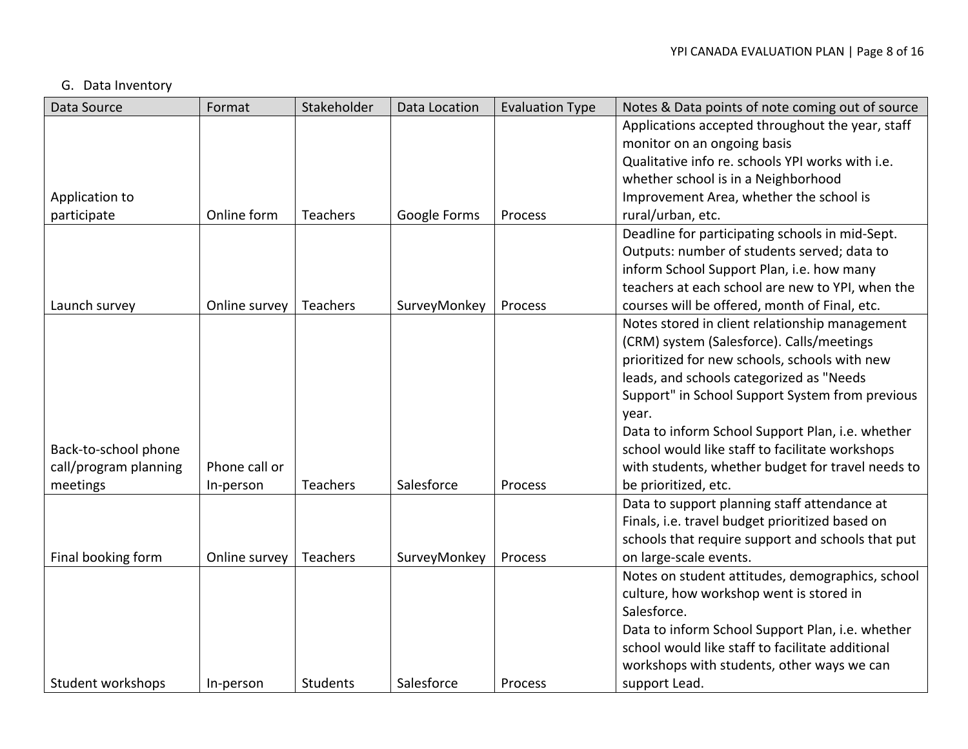# <span id="page-7-0"></span>G. Data Inventory

| Data Source           | Format        | Stakeholder     | Data Location | <b>Evaluation Type</b> | Notes & Data points of note coming out of source  |
|-----------------------|---------------|-----------------|---------------|------------------------|---------------------------------------------------|
|                       |               |                 |               |                        | Applications accepted throughout the year, staff  |
|                       |               |                 |               |                        | monitor on an ongoing basis                       |
|                       |               |                 |               |                        | Qualitative info re. schools YPI works with i.e.  |
|                       |               |                 |               |                        | whether school is in a Neighborhood               |
| Application to        |               |                 |               |                        | Improvement Area, whether the school is           |
| participate           | Online form   | <b>Teachers</b> | Google Forms  | Process                | rural/urban, etc.                                 |
|                       |               |                 |               |                        | Deadline for participating schools in mid-Sept.   |
|                       |               |                 |               |                        | Outputs: number of students served; data to       |
|                       |               |                 |               |                        | inform School Support Plan, i.e. how many         |
|                       |               |                 |               |                        | teachers at each school are new to YPI, when the  |
| Launch survey         | Online survey | <b>Teachers</b> | SurveyMonkey  | Process                | courses will be offered, month of Final, etc.     |
|                       |               |                 |               |                        | Notes stored in client relationship management    |
|                       |               |                 |               |                        | (CRM) system (Salesforce). Calls/meetings         |
|                       |               |                 |               |                        | prioritized for new schools, schools with new     |
|                       |               |                 |               |                        | leads, and schools categorized as "Needs          |
|                       |               |                 |               |                        | Support" in School Support System from previous   |
|                       |               |                 |               |                        | year.                                             |
|                       |               |                 |               |                        | Data to inform School Support Plan, i.e. whether  |
| Back-to-school phone  |               |                 |               |                        | school would like staff to facilitate workshops   |
| call/program planning | Phone call or |                 |               |                        | with students, whether budget for travel needs to |
| meetings              | In-person     | <b>Teachers</b> | Salesforce    | Process                | be prioritized, etc.                              |
|                       |               |                 |               |                        | Data to support planning staff attendance at      |
|                       |               |                 |               |                        | Finals, i.e. travel budget prioritized based on   |
|                       |               |                 |               |                        | schools that require support and schools that put |
| Final booking form    | Online survey | Teachers        | SurveyMonkey  | Process                | on large-scale events.                            |
|                       |               |                 |               |                        | Notes on student attitudes, demographics, school  |
|                       |               |                 |               |                        | culture, how workshop went is stored in           |
|                       |               |                 |               |                        | Salesforce.                                       |
|                       |               |                 |               |                        | Data to inform School Support Plan, i.e. whether  |
|                       |               |                 |               |                        | school would like staff to facilitate additional  |
|                       |               |                 |               |                        | workshops with students, other ways we can        |
| Student workshops     | In-person     | <b>Students</b> | Salesforce    | Process                | support Lead.                                     |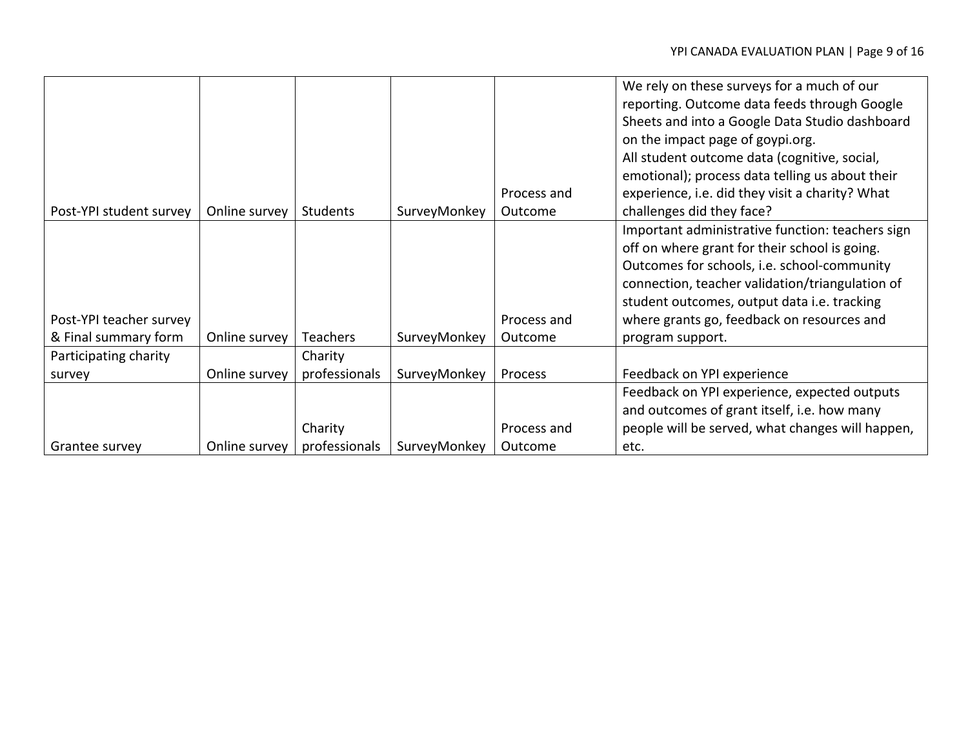|                         |               |               |              |             | We rely on these surveys for a much of our       |
|-------------------------|---------------|---------------|--------------|-------------|--------------------------------------------------|
|                         |               |               |              |             | reporting. Outcome data feeds through Google     |
|                         |               |               |              |             | Sheets and into a Google Data Studio dashboard   |
|                         |               |               |              |             | on the impact page of goypi.org.                 |
|                         |               |               |              |             | All student outcome data (cognitive, social,     |
|                         |               |               |              |             | emotional); process data telling us about their  |
|                         |               |               |              | Process and | experience, i.e. did they visit a charity? What  |
| Post-YPI student survey | Online survey | Students      | SurveyMonkey | Outcome     | challenges did they face?                        |
|                         |               |               |              |             | Important administrative function: teachers sign |
|                         |               |               |              |             | off on where grant for their school is going.    |
|                         |               |               |              |             | Outcomes for schools, i.e. school-community      |
|                         |               |               |              |             | connection, teacher validation/triangulation of  |
|                         |               |               |              |             | student outcomes, output data i.e. tracking      |
| Post-YPI teacher survey |               |               |              | Process and | where grants go, feedback on resources and       |
| & Final summary form    | Online survey | Teachers      | SurveyMonkey | Outcome     | program support.                                 |
| Participating charity   |               | Charity       |              |             |                                                  |
| survey                  | Online survey | professionals | SurveyMonkey | Process     | Feedback on YPI experience                       |
|                         |               |               |              |             | Feedback on YPI experience, expected outputs     |
|                         |               |               |              |             | and outcomes of grant itself, i.e. how many      |
|                         |               | Charity       |              | Process and | people will be served, what changes will happen, |
| Grantee survey          | Online survey | professionals | SurveyMonkey | Outcome     | etc.                                             |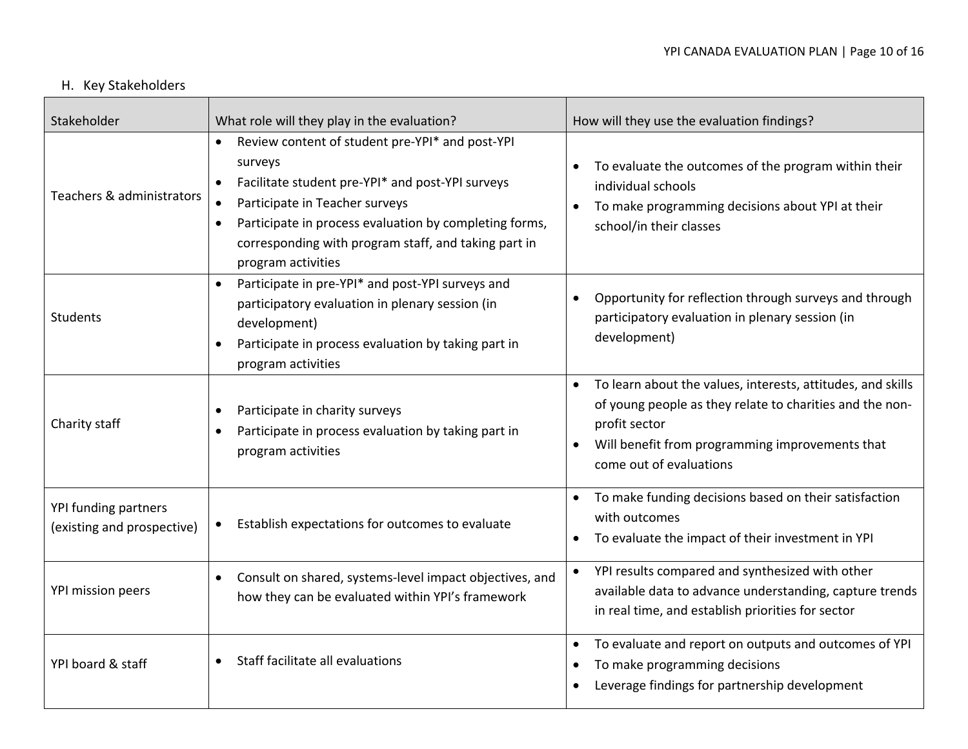# <span id="page-9-0"></span>H. Key Stakeholders

| Stakeholder                                        | What role will they play in the evaluation?                                                                                                                                                                                                                                                                                     | How will they use the evaluation findings?                                                                                                                                                                                          |
|----------------------------------------------------|---------------------------------------------------------------------------------------------------------------------------------------------------------------------------------------------------------------------------------------------------------------------------------------------------------------------------------|-------------------------------------------------------------------------------------------------------------------------------------------------------------------------------------------------------------------------------------|
| Teachers & administrators                          | Review content of student pre-YPI* and post-YPI<br>$\bullet$<br>surveys<br>Facilitate student pre-YPI* and post-YPI surveys<br>$\bullet$<br>Participate in Teacher surveys<br>Participate in process evaluation by completing forms,<br>$\bullet$<br>corresponding with program staff, and taking part in<br>program activities | To evaluate the outcomes of the program within their<br>individual schools<br>To make programming decisions about YPI at their<br>school/in their classes                                                                           |
| Students                                           | Participate in pre-YPI* and post-YPI surveys and<br>$\bullet$<br>participatory evaluation in plenary session (in<br>development)<br>Participate in process evaluation by taking part in<br>$\bullet$<br>program activities                                                                                                      | Opportunity for reflection through surveys and through<br>participatory evaluation in plenary session (in<br>development)                                                                                                           |
| Charity staff                                      | Participate in charity surveys<br>٠<br>Participate in process evaluation by taking part in<br>program activities                                                                                                                                                                                                                | To learn about the values, interests, attitudes, and skills<br>$\bullet$<br>of young people as they relate to charities and the non-<br>profit sector<br>Will benefit from programming improvements that<br>come out of evaluations |
| YPI funding partners<br>(existing and prospective) | Establish expectations for outcomes to evaluate<br>$\bullet$                                                                                                                                                                                                                                                                    | To make funding decisions based on their satisfaction<br>$\bullet$<br>with outcomes<br>To evaluate the impact of their investment in YPI                                                                                            |
| YPI mission peers                                  | Consult on shared, systems-level impact objectives, and<br>$\bullet$<br>how they can be evaluated within YPI's framework                                                                                                                                                                                                        | YPI results compared and synthesized with other<br>$\bullet$<br>available data to advance understanding, capture trends<br>in real time, and establish priorities for sector                                                        |
| YPI board & staff                                  | Staff facilitate all evaluations                                                                                                                                                                                                                                                                                                | To evaluate and report on outputs and outcomes of YPI<br>$\bullet$<br>To make programming decisions<br>Leverage findings for partnership development                                                                                |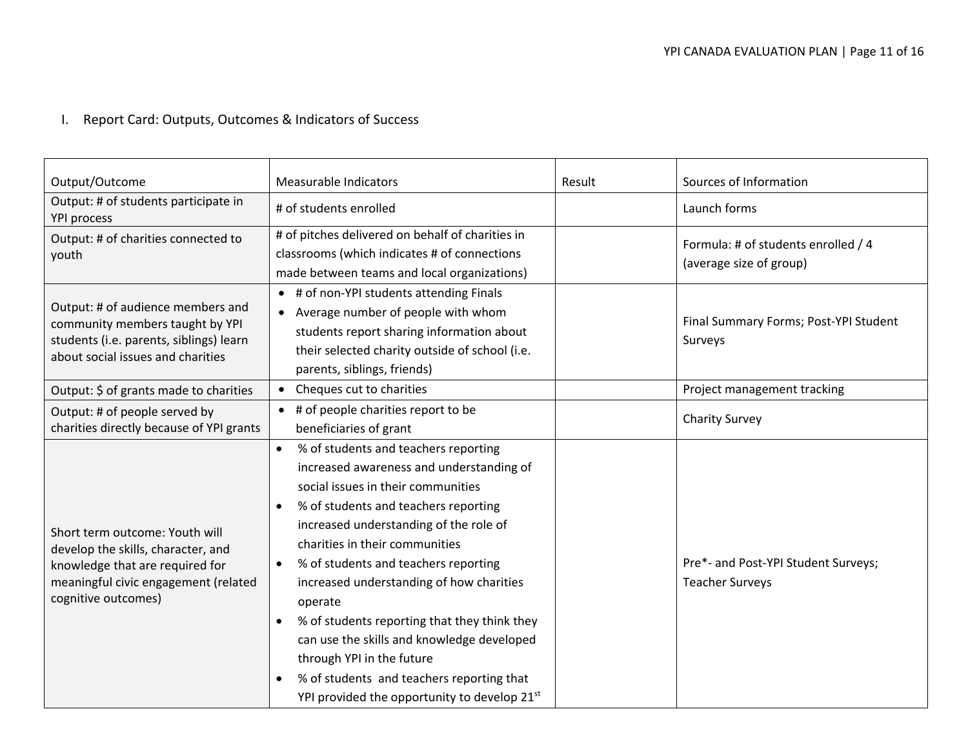# <span id="page-10-0"></span>I. Report Card: Outputs, Outcomes & Indicators of Success

| Output/Outcome                                                                                                                                                         | Measurable Indicators                                                                                                                                                                                                                                                                                                                                                                                                                                                                                                                                                                       | Result | Sources of Information                                         |
|------------------------------------------------------------------------------------------------------------------------------------------------------------------------|---------------------------------------------------------------------------------------------------------------------------------------------------------------------------------------------------------------------------------------------------------------------------------------------------------------------------------------------------------------------------------------------------------------------------------------------------------------------------------------------------------------------------------------------------------------------------------------------|--------|----------------------------------------------------------------|
| Output: # of students participate in<br><b>YPI process</b>                                                                                                             | # of students enrolled                                                                                                                                                                                                                                                                                                                                                                                                                                                                                                                                                                      |        | Launch forms                                                   |
| Output: # of charities connected to<br>youth                                                                                                                           | # of pitches delivered on behalf of charities in<br>classrooms (which indicates # of connections<br>made between teams and local organizations)                                                                                                                                                                                                                                                                                                                                                                                                                                             |        | Formula: # of students enrolled / 4<br>(average size of group) |
| Output: # of audience members and<br>community members taught by YPI<br>students (i.e. parents, siblings) learn<br>about social issues and charities                   | • # of non-YPI students attending Finals<br>• Average number of people with whom<br>students report sharing information about<br>their selected charity outside of school (i.e.<br>parents, siblings, friends)                                                                                                                                                                                                                                                                                                                                                                              |        | Final Summary Forms; Post-YPI Student<br>Surveys               |
| Output: \$ of grants made to charities                                                                                                                                 | • Cheques cut to charities                                                                                                                                                                                                                                                                                                                                                                                                                                                                                                                                                                  |        | Project management tracking                                    |
| Output: # of people served by<br>charities directly because of YPI grants                                                                                              | • # of people charities report to be<br>beneficiaries of grant                                                                                                                                                                                                                                                                                                                                                                                                                                                                                                                              |        | <b>Charity Survey</b>                                          |
| Short term outcome: Youth will<br>develop the skills, character, and<br>knowledge that are required for<br>meaningful civic engagement (related<br>cognitive outcomes) | % of students and teachers reporting<br>$\bullet$<br>increased awareness and understanding of<br>social issues in their communities<br>% of students and teachers reporting<br>increased understanding of the role of<br>charities in their communities<br>% of students and teachers reporting<br>$\bullet$<br>increased understanding of how charities<br>operate<br>% of students reporting that they think they<br>can use the skills and knowledge developed<br>through YPI in the future<br>% of students and teachers reporting that<br>YPI provided the opportunity to develop 21st |        | Pre*- and Post-YPI Student Surveys;<br><b>Teacher Surveys</b>  |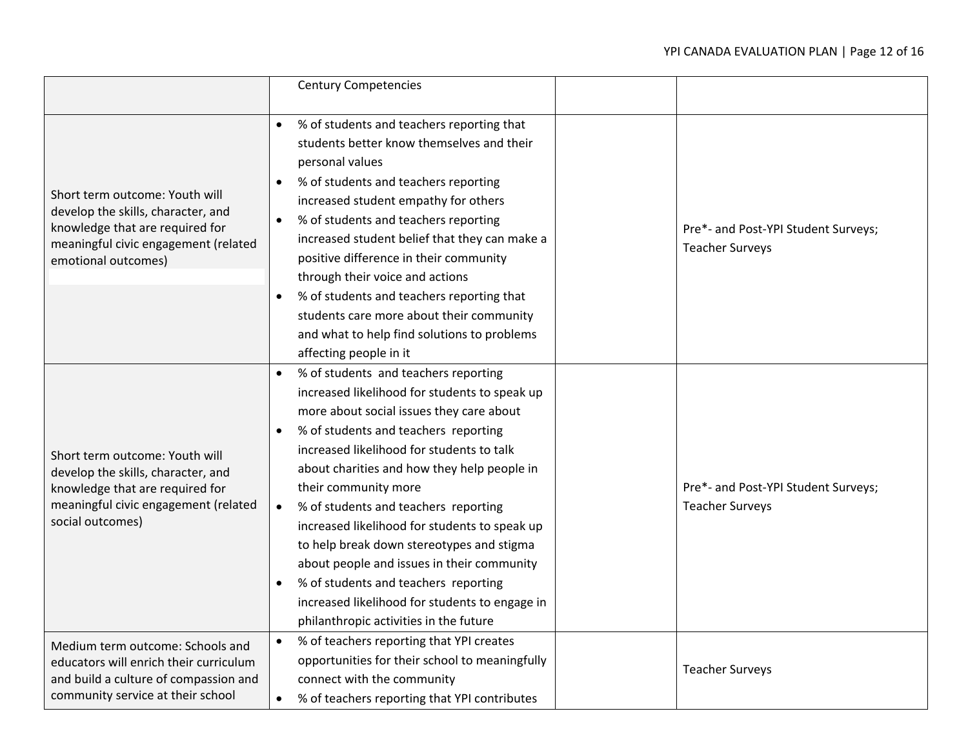|                                                                                                                                                                        | <b>Century Competencies</b>                                                                                                                                                                                                                                                                                                                                                                                                                                                                                                                                                                                                        |                                                               |
|------------------------------------------------------------------------------------------------------------------------------------------------------------------------|------------------------------------------------------------------------------------------------------------------------------------------------------------------------------------------------------------------------------------------------------------------------------------------------------------------------------------------------------------------------------------------------------------------------------------------------------------------------------------------------------------------------------------------------------------------------------------------------------------------------------------|---------------------------------------------------------------|
| Short term outcome: Youth will<br>develop the skills, character, and<br>knowledge that are required for<br>meaningful civic engagement (related<br>emotional outcomes) | % of students and teachers reporting that<br>students better know themselves and their<br>personal values<br>% of students and teachers reporting<br>$\bullet$<br>increased student empathy for others<br>% of students and teachers reporting<br>٠<br>increased student belief that they can make a<br>positive difference in their community<br>through their voice and actions<br>% of students and teachers reporting that<br>students care more about their community<br>and what to help find solutions to problems<br>affecting people in it                                                                                | Pre*- and Post-YPI Student Surveys;<br><b>Teacher Surveys</b> |
| Short term outcome: Youth will<br>develop the skills, character, and<br>knowledge that are required for<br>meaningful civic engagement (related<br>social outcomes)    | % of students and teachers reporting<br>increased likelihood for students to speak up<br>more about social issues they care about<br>% of students and teachers reporting<br>increased likelihood for students to talk<br>about charities and how they help people in<br>their community more<br>% of students and teachers reporting<br>$\bullet$<br>increased likelihood for students to speak up<br>to help break down stereotypes and stigma<br>about people and issues in their community<br>% of students and teachers reporting<br>increased likelihood for students to engage in<br>philanthropic activities in the future | Pre*- and Post-YPI Student Surveys;<br><b>Teacher Surveys</b> |
| Medium term outcome: Schools and<br>educators will enrich their curriculum<br>and build a culture of compassion and<br>community service at their school               | % of teachers reporting that YPI creates<br>opportunities for their school to meaningfully<br>connect with the community<br>% of teachers reporting that YPI contributes                                                                                                                                                                                                                                                                                                                                                                                                                                                           | <b>Teacher Surveys</b>                                        |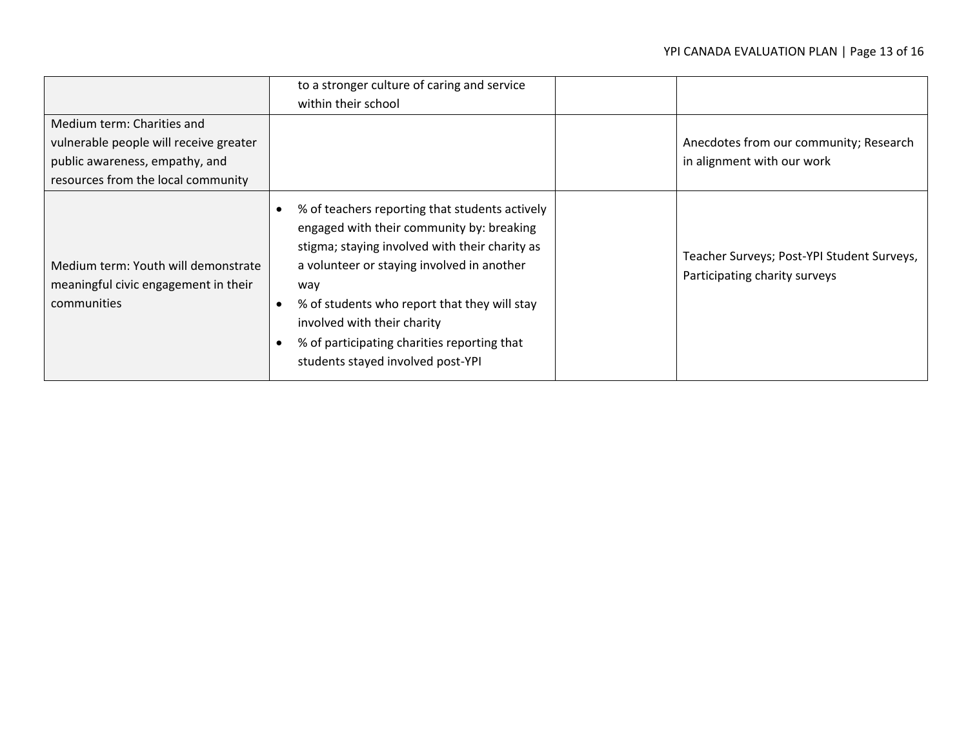|                                                                                                                                              | to a stronger culture of caring and service<br>within their school                                                                                                                                                                                                                                                                                                    |                                                                             |
|----------------------------------------------------------------------------------------------------------------------------------------------|-----------------------------------------------------------------------------------------------------------------------------------------------------------------------------------------------------------------------------------------------------------------------------------------------------------------------------------------------------------------------|-----------------------------------------------------------------------------|
| Medium term: Charities and<br>vulnerable people will receive greater<br>public awareness, empathy, and<br>resources from the local community |                                                                                                                                                                                                                                                                                                                                                                       | Anecdotes from our community; Research<br>in alignment with our work        |
| Medium term: Youth will demonstrate<br>meaningful civic engagement in their<br>communities                                                   | % of teachers reporting that students actively<br>engaged with their community by: breaking<br>stigma; staying involved with their charity as<br>a volunteer or staying involved in another<br>way<br>% of students who report that they will stay<br>involved with their charity<br>% of participating charities reporting that<br>students stayed involved post-YPI | Teacher Surveys; Post-YPI Student Surveys,<br>Participating charity surveys |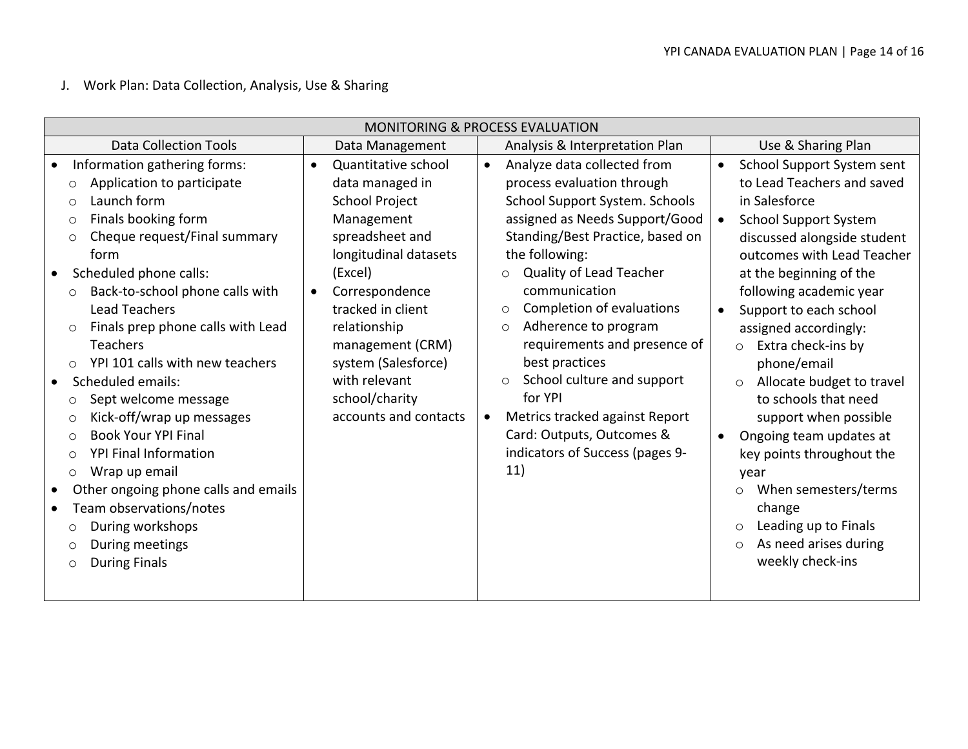<span id="page-13-0"></span>J. Work Plan: Data Collection, Analysis, Use & Sharing

| <b>MONITORING &amp; PROCESS EVALUATION</b>                                                                                                                                                                                                                                                                                                                                                                                                                                                                                                                                                                                                                                                                                                                                        |                                                                                                                                                                                                                                                                                                                              |                                                                                                                                                                                                                                                                                                                                                                                                                                                                                                                                                   |                                                                                                                                                                                                                                                                                                                                                                                                                                                                                                                                                                                                                                                            |  |  |  |  |  |  |  |
|-----------------------------------------------------------------------------------------------------------------------------------------------------------------------------------------------------------------------------------------------------------------------------------------------------------------------------------------------------------------------------------------------------------------------------------------------------------------------------------------------------------------------------------------------------------------------------------------------------------------------------------------------------------------------------------------------------------------------------------------------------------------------------------|------------------------------------------------------------------------------------------------------------------------------------------------------------------------------------------------------------------------------------------------------------------------------------------------------------------------------|---------------------------------------------------------------------------------------------------------------------------------------------------------------------------------------------------------------------------------------------------------------------------------------------------------------------------------------------------------------------------------------------------------------------------------------------------------------------------------------------------------------------------------------------------|------------------------------------------------------------------------------------------------------------------------------------------------------------------------------------------------------------------------------------------------------------------------------------------------------------------------------------------------------------------------------------------------------------------------------------------------------------------------------------------------------------------------------------------------------------------------------------------------------------------------------------------------------------|--|--|--|--|--|--|--|
| <b>Data Collection Tools</b>                                                                                                                                                                                                                                                                                                                                                                                                                                                                                                                                                                                                                                                                                                                                                      | Data Management                                                                                                                                                                                                                                                                                                              | Analysis & Interpretation Plan                                                                                                                                                                                                                                                                                                                                                                                                                                                                                                                    | Use & Sharing Plan                                                                                                                                                                                                                                                                                                                                                                                                                                                                                                                                                                                                                                         |  |  |  |  |  |  |  |
| Information gathering forms:<br>Application to participate<br>$\circ$<br>Launch form<br>$\circ$<br>Finals booking form<br>$\circ$<br>Cheque request/Final summary<br>$\circ$<br>form<br>Scheduled phone calls:<br>Back-to-school phone calls with<br>$\circ$<br><b>Lead Teachers</b><br>Finals prep phone calls with Lead<br>$\circ$<br>Teachers<br>YPI 101 calls with new teachers<br>$\circ$<br>Scheduled emails:<br>Sept welcome message<br>$\circ$<br>Kick-off/wrap up messages<br>$\circ$<br><b>Book Your YPI Final</b><br>$\circ$<br><b>YPI Final Information</b><br>$\circ$<br>Wrap up email<br>$\circ$<br>Other ongoing phone calls and emails<br>Team observations/notes<br>During workshops<br>$\circ$<br>During meetings<br>$\circ$<br><b>During Finals</b><br>$\circ$ | Quantitative school<br>$\bullet$<br>data managed in<br><b>School Project</b><br>Management<br>spreadsheet and<br>longitudinal datasets<br>(Excel)<br>Correspondence<br>$\bullet$<br>tracked in client<br>relationship<br>management (CRM)<br>system (Salesforce)<br>with relevant<br>school/charity<br>accounts and contacts | Analyze data collected from<br>$\bullet$<br>process evaluation through<br>School Support System. Schools<br>assigned as Needs Support/Good<br>Standing/Best Practice, based on<br>the following:<br>Quality of Lead Teacher<br>$\circ$<br>communication<br>Completion of evaluations<br>$\circ$<br>Adherence to program<br>$\circ$<br>requirements and presence of<br>best practices<br>School culture and support<br>$\circ$<br>for YPI<br>Metrics tracked against Report<br>Card: Outputs, Outcomes &<br>indicators of Success (pages 9-<br>11) | School Support System sent<br>$\bullet$<br>to Lead Teachers and saved<br>in Salesforce<br><b>School Support System</b><br>discussed alongside student<br>outcomes with Lead Teacher<br>at the beginning of the<br>following academic year<br>Support to each school<br>assigned accordingly:<br>Extra check-ins by<br>$\circ$<br>phone/email<br>Allocate budget to travel<br>$\circ$<br>to schools that need<br>support when possible<br>Ongoing team updates at<br>$\bullet$<br>key points throughout the<br>year<br>When semesters/terms<br>$\circ$<br>change<br>Leading up to Finals<br>$\circ$<br>As need arises during<br>$\circ$<br>weekly check-ins |  |  |  |  |  |  |  |
|                                                                                                                                                                                                                                                                                                                                                                                                                                                                                                                                                                                                                                                                                                                                                                                   |                                                                                                                                                                                                                                                                                                                              |                                                                                                                                                                                                                                                                                                                                                                                                                                                                                                                                                   |                                                                                                                                                                                                                                                                                                                                                                                                                                                                                                                                                                                                                                                            |  |  |  |  |  |  |  |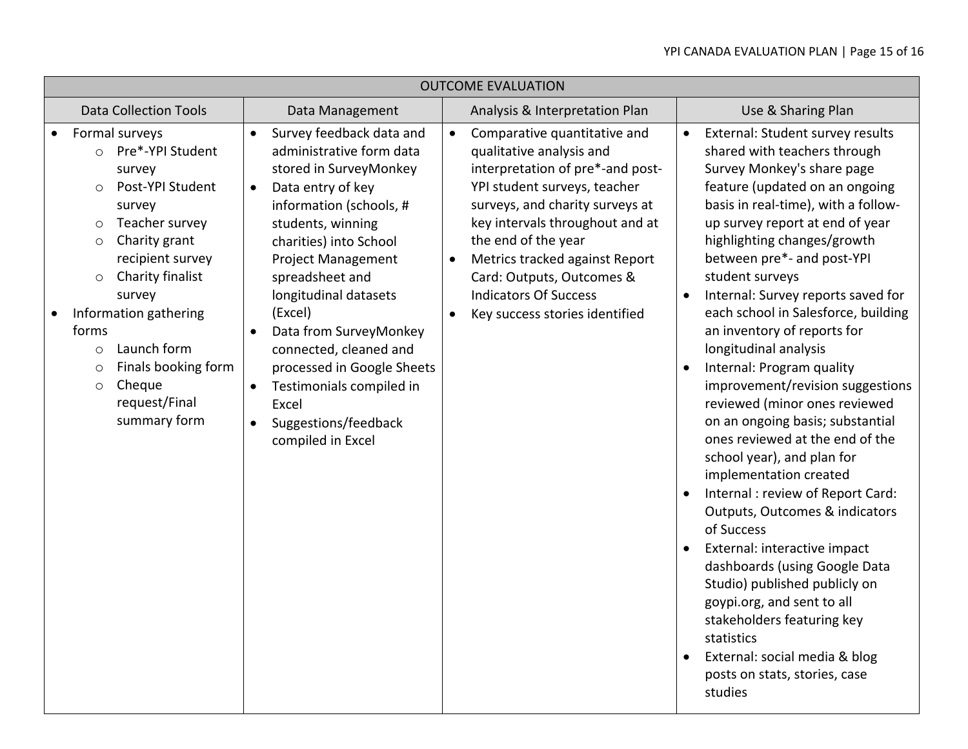|                                                 | <b>OUTCOME EVALUATION</b>                                                                                                                                                                                                                                                                                                                                                  |                                                                                                                                                                                                                                                                                                                                                                                                                                                                                           |                        |                                                                                                                                                                                                                                                                                                                                                            |                                                                                                                                                                                                                                                                                                                                                                                                                                                                                                                                                                                                                                                                                                                                                                                                                                                                                                                                                                                                                                                       |  |  |  |  |  |  |
|-------------------------------------------------|----------------------------------------------------------------------------------------------------------------------------------------------------------------------------------------------------------------------------------------------------------------------------------------------------------------------------------------------------------------------------|-------------------------------------------------------------------------------------------------------------------------------------------------------------------------------------------------------------------------------------------------------------------------------------------------------------------------------------------------------------------------------------------------------------------------------------------------------------------------------------------|------------------------|------------------------------------------------------------------------------------------------------------------------------------------------------------------------------------------------------------------------------------------------------------------------------------------------------------------------------------------------------------|-------------------------------------------------------------------------------------------------------------------------------------------------------------------------------------------------------------------------------------------------------------------------------------------------------------------------------------------------------------------------------------------------------------------------------------------------------------------------------------------------------------------------------------------------------------------------------------------------------------------------------------------------------------------------------------------------------------------------------------------------------------------------------------------------------------------------------------------------------------------------------------------------------------------------------------------------------------------------------------------------------------------------------------------------------|--|--|--|--|--|--|
| <b>Data Collection Tools</b><br>Data Management |                                                                                                                                                                                                                                                                                                                                                                            |                                                                                                                                                                                                                                                                                                                                                                                                                                                                                           |                        | Analysis & Interpretation Plan<br>Use & Sharing Plan                                                                                                                                                                                                                                                                                                       |                                                                                                                                                                                                                                                                                                                                                                                                                                                                                                                                                                                                                                                                                                                                                                                                                                                                                                                                                                                                                                                       |  |  |  |  |  |  |
|                                                 | Formal surveys<br>Pre*-YPI Student<br>$\circ$<br>survey<br>Post-YPI Student<br>$\circ$<br>survey<br>Teacher survey<br>$\circ$<br>Charity grant<br>$\circ$<br>recipient survey<br>Charity finalist<br>$\circ$<br>survey<br>Information gathering<br>forms<br>Launch form<br>$\circ$<br>Finals booking form<br>$\circ$<br>Cheque<br>$\circ$<br>request/Final<br>summary form | Survey feedback data and<br>$\bullet$<br>administrative form data<br>stored in SurveyMonkey<br>Data entry of key<br>$\bullet$<br>information (schools, #<br>students, winning<br>charities) into School<br><b>Project Management</b><br>spreadsheet and<br>longitudinal datasets<br>(Excel)<br>Data from SurveyMonkey<br>connected, cleaned and<br>processed in Google Sheets<br>Testimonials compiled in<br>$\bullet$<br>Excel<br>Suggestions/feedback<br>$\bullet$<br>compiled in Excel | $\bullet$<br>$\bullet$ | Comparative quantitative and<br>qualitative analysis and<br>interpretation of pre*-and post-<br>YPI student surveys, teacher<br>surveys, and charity surveys at<br>key intervals throughout and at<br>the end of the year<br>Metrics tracked against Report<br>Card: Outputs, Outcomes &<br><b>Indicators Of Success</b><br>Key success stories identified | External: Student survey results<br>$\bullet$<br>shared with teachers through<br>Survey Monkey's share page<br>feature (updated on an ongoing<br>basis in real-time), with a follow-<br>up survey report at end of year<br>highlighting changes/growth<br>between pre*- and post-YPI<br>student surveys<br>Internal: Survey reports saved for<br>$\bullet$<br>each school in Salesforce, building<br>an inventory of reports for<br>longitudinal analysis<br>Internal: Program quality<br>improvement/revision suggestions<br>reviewed (minor ones reviewed<br>on an ongoing basis; substantial<br>ones reviewed at the end of the<br>school year), and plan for<br>implementation created<br>Internal : review of Report Card:<br>Outputs, Outcomes & indicators<br>of Success<br>External: interactive impact<br>$\bullet$<br>dashboards (using Google Data<br>Studio) published publicly on<br>goypi.org, and sent to all<br>stakeholders featuring key<br>statistics<br>External: social media & blog<br>posts on stats, stories, case<br>studies |  |  |  |  |  |  |